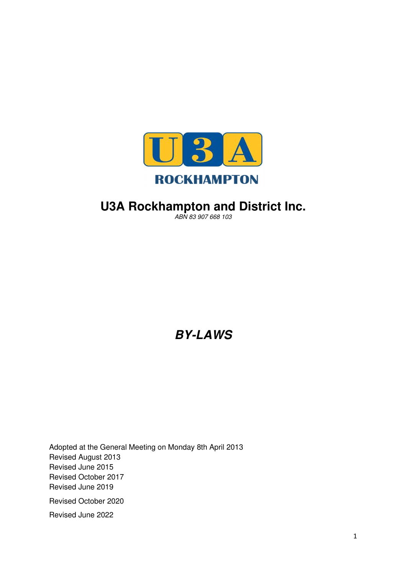

# **U3A Rockhampton and District Inc.**

ABN 83 907 668 103

**BY-LAWS** 

Adopted at the General Meeting on Monday 8th April 2013 Revised August 2013 Revised June 2015 Revised October 2017 Revised June 2019 Revised October 2020 Revised June 2022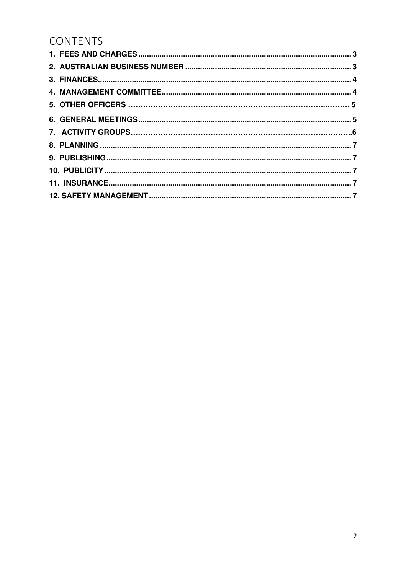# **CONTENTS**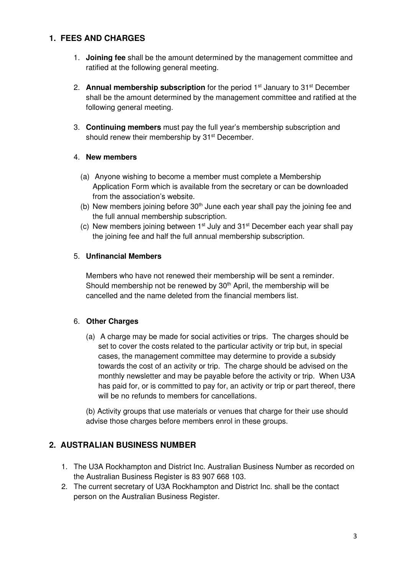# **1. FEES AND CHARGES**

- 1. **Joining fee** shall be the amount determined by the management committee and ratified at the following general meeting.
- 2. **Annual membership subscription** for the period 1<sup>st</sup> January to 31<sup>st</sup> December shall be the amount determined by the management committee and ratified at the following general meeting.
- 3. **Continuing members** must pay the full year's membership subscription and should renew their membership by 31<sup>st</sup> December.

#### 4. **New members**

- (a) Anyone wishing to become a member must complete a Membership Application Form which is available from the secretary or can be downloaded from the association's website.
- (b) New members joining before  $30<sup>th</sup>$  June each year shall pay the joining fee and the full annual membership subscription.
- (c) New members joining between  $1<sup>st</sup>$  July and  $31<sup>st</sup>$  December each year shall pay the joining fee and half the full annual membership subscription.

## 5. **Unfinancial Members**

Members who have not renewed their membership will be sent a reminder. Should membership not be renewed by  $30<sup>th</sup>$  April, the membership will be cancelled and the name deleted from the financial members list.

## 6. **Other Charges**

(a) A charge may be made for social activities or trips. The charges should be set to cover the costs related to the particular activity or trip but, in special cases, the management committee may determine to provide a subsidy towards the cost of an activity or trip. The charge should be advised on the monthly newsletter and may be payable before the activity or trip. When U3A has paid for, or is committed to pay for, an activity or trip or part thereof, there will be no refunds to members for cancellations.

(b) Activity groups that use materials or venues that charge for their use should advise those charges before members enrol in these groups.

# **2. AUSTRALIAN BUSINESS NUMBER**

- 1. The U3A Rockhampton and District Inc. Australian Business Number as recorded on the Australian Business Register is 83 907 668 103.
- 2. The current secretary of U3A Rockhampton and District Inc. shall be the contact person on the Australian Business Register.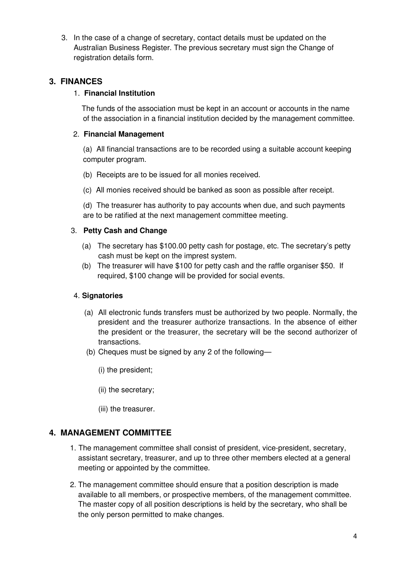3. In the case of a change of secretary, contact details must be updated on the Australian Business Register. The previous secretary must sign the Change of registration details form.

## **3. FINANCES**

#### 1. **Financial Institution**

 The funds of the association must be kept in an account or accounts in the name of the association in a financial institution decided by the management committee.

## 2. **Financial Management**

(a) All financial transactions are to be recorded using a suitable account keeping computer program.

- (b) Receipts are to be issued for all monies received.
- (c) All monies received should be banked as soon as possible after receipt.

(d) The treasurer has authority to pay accounts when due, and such payments are to be ratified at the next management committee meeting.

## 3. **Petty Cash and Change**

- (a) The secretary has \$100.00 petty cash for postage, etc. The secretary's petty cash must be kept on the imprest system.
- (b) The treasurer will have \$100 for petty cash and the raffle organiser \$50. If required, \$100 change will be provided for social events.

#### 4. **Signatories**

- (a) All electronic funds transfers must be authorized by two people. Normally, the president and the treasurer authorize transactions. In the absence of either the president or the treasurer, the secretary will be the second authorizer of transactions.
- (b) Cheques must be signed by any 2 of the following—
	- (i) the president;
	- (ii) the secretary;
	- (iii) the treasurer.

## **4. MANAGEMENT COMMITTEE**

- 1. The management committee shall consist of president, vice-president, secretary, assistant secretary, treasurer, and up to three other members elected at a general meeting or appointed by the committee.
- 2. The management committee should ensure that a position description is made available to all members, or prospective members, of the management committee. The master copy of all position descriptions is held by the secretary, who shall be the only person permitted to make changes.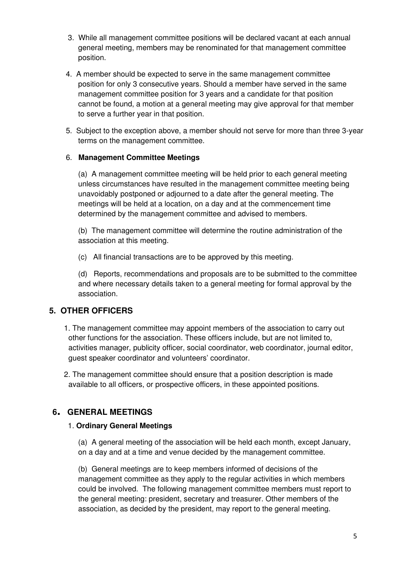- 3. While all management committee positions will be declared vacant at each annual general meeting, members may be renominated for that management committee position.
- 4. A member should be expected to serve in the same management committee position for only 3 consecutive years. Should a member have served in the same management committee position for 3 years and a candidate for that position cannot be found, a motion at a general meeting may give approval for that member to serve a further year in that position.
- 5. Subject to the exception above, a member should not serve for more than three 3-year terms on the management committee.

#### 6. **Management Committee Meetings**

 (a) A management committee meeting will be held prior to each general meeting unless circumstances have resulted in the management committee meeting being unavoidably postponed or adjourned to a date after the general meeting. The meetings will be held at a location, on a day and at the commencement time determined by the management committee and advised to members.

 (b) The management committee will determine the routine administration of the association at this meeting.

(c) All financial transactions are to be approved by this meeting.

 (d) Reports, recommendations and proposals are to be submitted to the committee and where necessary details taken to a general meeting for formal approval by the association.

## **5. OTHER OFFICERS**

1. The management committee may appoint members of the association to carry out other functions for the association. These officers include, but are not limited to, activities manager, publicity officer, social coordinator, web coordinator, journal editor, guest speaker coordinator and volunteers' coordinator.

2. The management committee should ensure that a position description is made available to all officers, or prospective officers, in these appointed positions.

## **<sup>6</sup>. GENERAL MEETINGS**

#### 1. **Ordinary General Meetings**

 (a) A general meeting of the association will be held each month, except January, on a day and at a time and venue decided by the management committee.

(b) General meetings are to keep members informed of decisions of the management committee as they apply to the regular activities in which members could be involved. The following management committee members must report to the general meeting: president, secretary and treasurer. Other members of the association, as decided by the president, may report to the general meeting.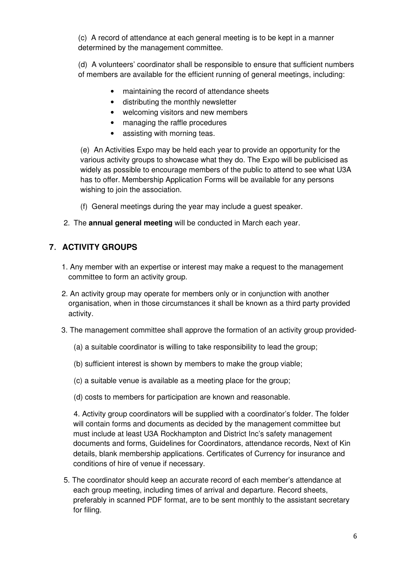(c) A record of attendance at each general meeting is to be kept in a manner determined by the management committee.

 (d) A volunteers' coordinator shall be responsible to ensure that sufficient numbers of members are available for the efficient running of general meetings, including:

- maintaining the record of attendance sheets
- distributing the monthly newsletter
- welcoming visitors and new members
- managing the raffle procedures
- assisting with morning teas.

(e) An Activities Expo may be held each year to provide an opportunity for the various activity groups to showcase what they do. The Expo will be publicised as widely as possible to encourage members of the public to attend to see what U3A has to offer. Membership Application Forms will be available for any persons wishing to join the association.

- (f) General meetings during the year may include a guest speaker.
- 2. The **annual general meeting** will be conducted in March each year.

# **<sup>7</sup>**. **ACTIVITY GROUPS**

- 1. Any member with an expertise or interest may make a request to the management committee to form an activity group.
- 2. An activity group may operate for members only or in conjunction with another organisation, when in those circumstances it shall be known as a third party provided activity.
- 3. The management committee shall approve the formation of an activity group provided-
	- (a) a suitable coordinator is willing to take responsibility to lead the group;
	- (b) sufficient interest is shown by members to make the group viable;
	- (c) a suitable venue is available as a meeting place for the group;
	- (d) costs to members for participation are known and reasonable.

 4. Activity group coordinators will be supplied with a coordinator's folder. The folder will contain forms and documents as decided by the management committee but must include at least U3A Rockhampton and District Inc's safety management documents and forms, Guidelines for Coordinators, attendance records, Next of Kin details, blank membership applications. Certificates of Currency for insurance and conditions of hire of venue if necessary.

5. The coordinator should keep an accurate record of each member's attendance at each group meeting, including times of arrival and departure. Record sheets, preferably in scanned PDF format, are to be sent monthly to the assistant secretary for filing.